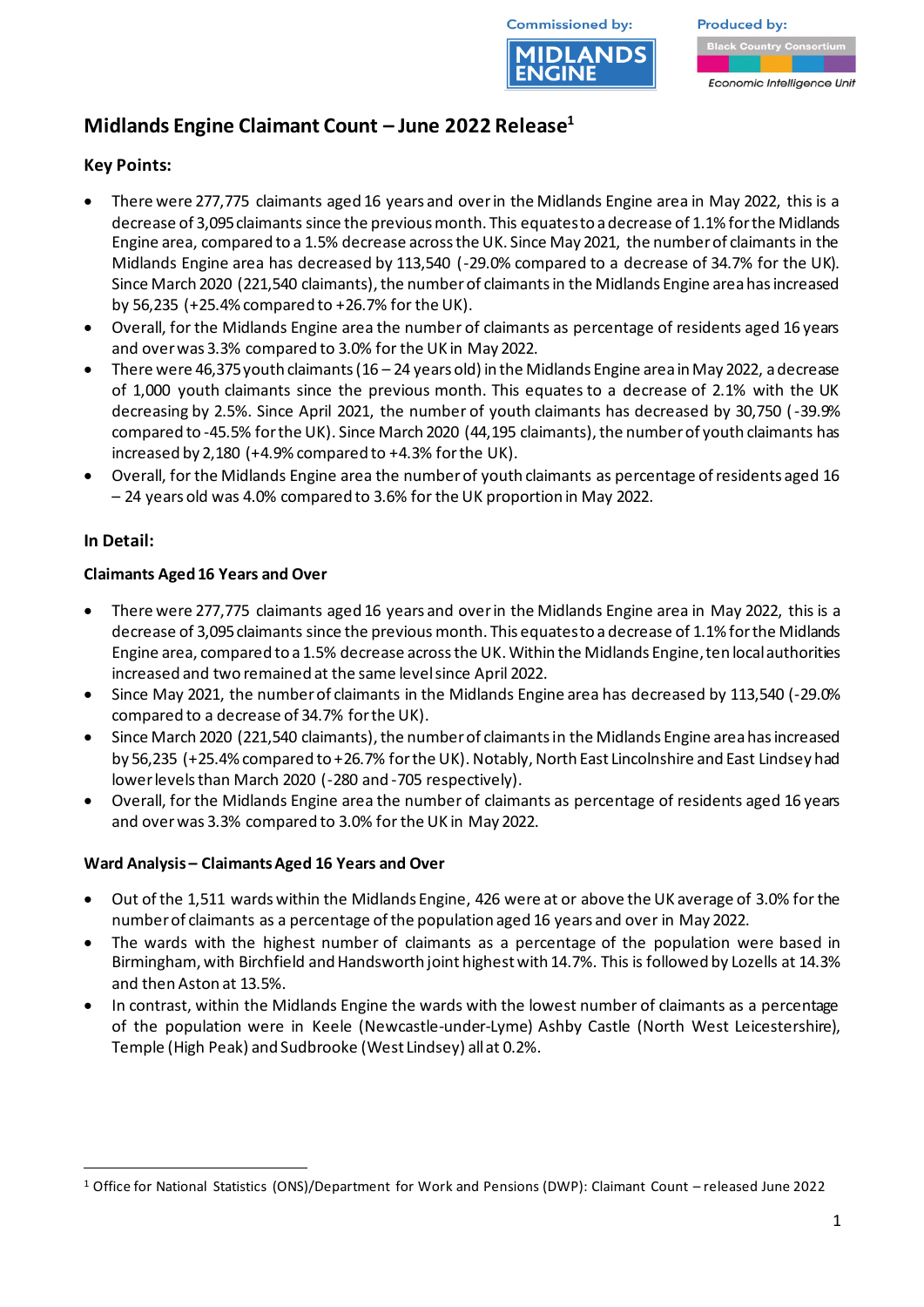



**Produced by:** 

Economic Intelligence Unit

# **Midlands Engine Claimant Count – June 2022 Release<sup>1</sup>**

## **Key Points:**

- There were 277,775 claimants aged 16 years and over in the Midlands Engine area in May 2022, this is a decrease of 3,095 claimants since the previous month. This equates to a decrease of 1.1% for the Midlands Engine area, compared to a 1.5% decrease across the UK. Since May 2021, the number of claimants in the Midlands Engine area has decreased by 113,540 (-29.0% compared to a decrease of 34.7% for the UK). Since March 2020 (221,540 claimants), the number of claimants in the Midlands Engine area has increased by 56,235 (+25.4% compared to +26.7% for the UK).
- Overall, for the Midlands Engine area the number of claimants as percentage of residents aged 16 years and over was 3.3% compared to 3.0% for the UK in May 2022.
- There were 46,375 youth claimants (16 24 years old) in the Midlands Engine area in May 2022, a decrease of 1,000 youth claimants since the previous month. This equates to a decrease of 2.1% with the UK decreasing by 2.5%. Since April 2021, the number of youth claimants has decreased by 30,750 (-39.9% compared to -45.5% for the UK). Since March 2020 (44,195 claimants), the number of youth claimants has increased by 2,180 (+4.9% compared to +4.3% for the UK).
- Overall, for the Midlands Engine area the number of youth claimants as percentage of residents aged 16 – 24 years old was 4.0% compared to 3.6% for the UK proportion in May 2022.

### **In Detail:**

### **Claimants Aged 16 Years and Over**

- There were 277,775 claimants aged 16 years and over in the Midlands Engine area in May 2022, this is a decrease of 3,095claimants since the previous month. This equates to a decrease of 1.1% for the Midlands Engine area, compared to a 1.5% decrease across the UK. Within the Midlands Engine, ten local authorities increased and two remained at the same level since April 2022.
- Since May 2021, the number of claimants in the Midlands Engine area has decreased by 113,540 (-29.0% compared to a decrease of 34.7% for the UK).
- Since March 2020 (221,540 claimants), the number of claimants in the Midlands Engine area has increased by 56,235 (+25.4% compared to +26.7% for the UK). Notably, North East Lincolnshire and East Lindsey had lower levels than March 2020 (-280 and -705 respectively).
- Overall, for the Midlands Engine area the number of claimants as percentage of residents aged 16 years and over was 3.3% compared to 3.0% for the UK in May 2022.

### **Ward Analysis – Claimants Aged 16 Years and Over**

- Out of the 1,511 wards within the Midlands Engine, 426 were at or above the UK average of 3.0% for the number of claimants as a percentage of the population aged 16 years and over in May 2022.
- The wards with the highest number of claimants as a percentage of the population were based in Birmingham, with Birchfield and Handsworth joint highest with 14.7%. This is followed by Lozells at 14.3% and then Aston at 13.5%.
- In contrast, within the Midlands Engine the wards with the lowest number of claimants as a percentage of the population were in Keele (Newcastle-under-Lyme) Ashby Castle (North West Leicestershire), Temple (High Peak) and Sudbrooke (West Lindsey) allat 0.2%.

<sup>1</sup> Office for National Statistics (ONS)/Department for Work and Pensions (DWP): Claimant Count – released June 2022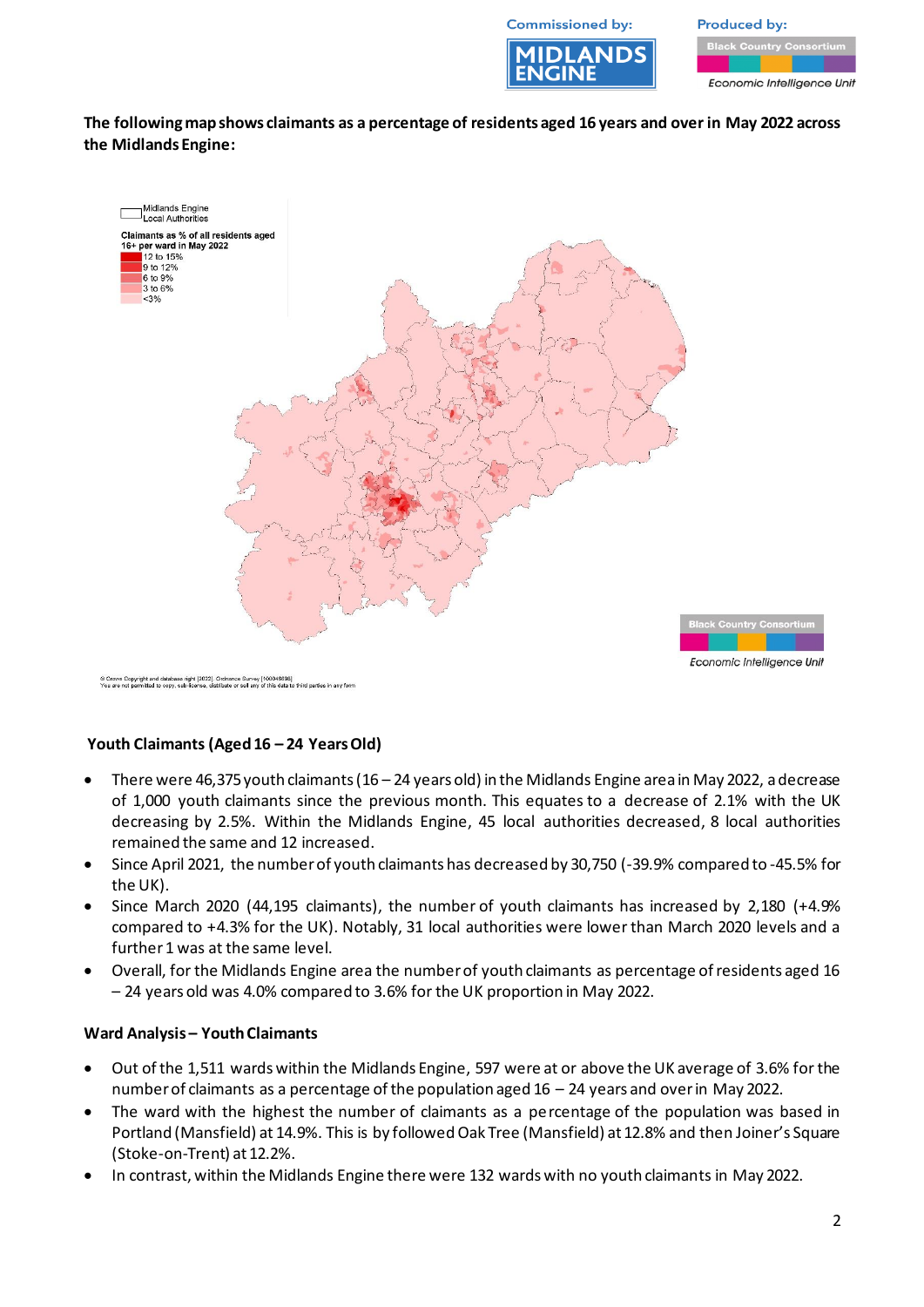**Commissioned by:** 



**Produced by:** 

Economic Intelligence Unit

**The following map shows claimants as a percentage of residents aged 16 years and over in May 2022 across the Midlands Engine:**



n Copyright and database right [2022]. Ordnance Survey [100046698]<br>not permitted to copy, sub-license, distribute or sell any of this data to third parties in any forn

#### **Youth Claimants (Aged 16 – 24 Years Old)**

- There were 46,375youth claimants (16 24 years old) in the Midlands Engine area in May 2022, adecrease of 1,000 youth claimants since the previous month. This equates to a decrease of 2.1% with the UK decreasing by 2.5%. Within the Midlands Engine, 45 local authorities decreased, 8 local authorities remained the same and 12 increased.
- Since April 2021, the number of youth claimants has decreased by 30,750 (-39.9% compared to -45.5% for the UK).
- Since March 2020 (44,195 claimants), the number of youth claimants has increased by 2,180 (+4.9% compared to +4.3% for the UK). Notably, 31 local authorities were lower than March 2020 levels and a further 1 was at the same level.
- Overall, for the Midlands Engine area the number of youth claimants as percentage of residents aged 16 – 24 years old was 4.0% compared to 3.6% for the UK proportion in May 2022.

#### **Ward Analysis – Youth Claimants**

- Out of the 1,511 wards within the Midlands Engine, 597 were at or above the UK average of 3.6% for the number of claimants as a percentage of the population aged 16 – 24 years and over in May 2022.
- The ward with the highest the number of claimants as a percentage of the population was based in Portland (Mansfield) at 14.9%. This is by followed Oak Tree (Mansfield) at 12.8% and then Joiner's Square (Stoke-on-Trent) at 12.2%.
- In contrast, within the Midlands Engine there were 132 wards with no youth claimants in May 2022.